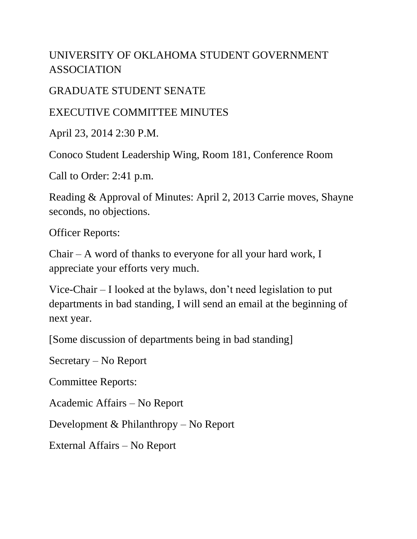## UNIVERSITY OF OKLAHOMA STUDENT GOVERNMENT ASSOCIATION

GRADUATE STUDENT SENATE

EXECUTIVE COMMITTEE MINUTES

April 23, 2014 2:30 P.M.

Conoco Student Leadership Wing, Room 181, Conference Room

Call to Order: 2:41 p.m.

Reading & Approval of Minutes: April 2, 2013 Carrie moves, Shayne seconds, no objections.

Officer Reports:

Chair – A word of thanks to everyone for all your hard work, I appreciate your efforts very much.

Vice-Chair – I looked at the bylaws, don't need legislation to put departments in bad standing, I will send an email at the beginning of next year.

[Some discussion of departments being in bad standing]

Secretary – No Report

Committee Reports:

Academic Affairs – No Report

Development & Philanthropy – No Report

External Affairs – No Report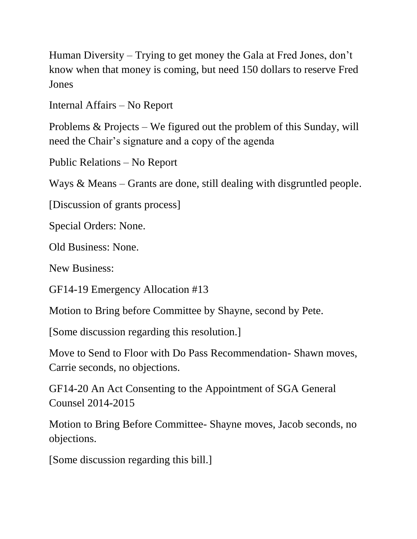Human Diversity – Trying to get money the Gala at Fred Jones, don't know when that money is coming, but need 150 dollars to reserve Fred Jones

Internal Affairs – No Report

Problems & Projects – We figured out the problem of this Sunday, will need the Chair's signature and a copy of the agenda

Public Relations – No Report

Ways & Means – Grants are done, still dealing with disgruntled people.

[Discussion of grants process]

Special Orders: None.

Old Business: None.

New Business:

GF14-19 Emergency Allocation #13

Motion to Bring before Committee by Shayne, second by Pete.

[Some discussion regarding this resolution.]

Move to Send to Floor with Do Pass Recommendation- Shawn moves, Carrie seconds, no objections.

GF14-20 An Act Consenting to the Appointment of SGA General Counsel 2014-2015

Motion to Bring Before Committee- Shayne moves, Jacob seconds, no objections.

[Some discussion regarding this bill.]